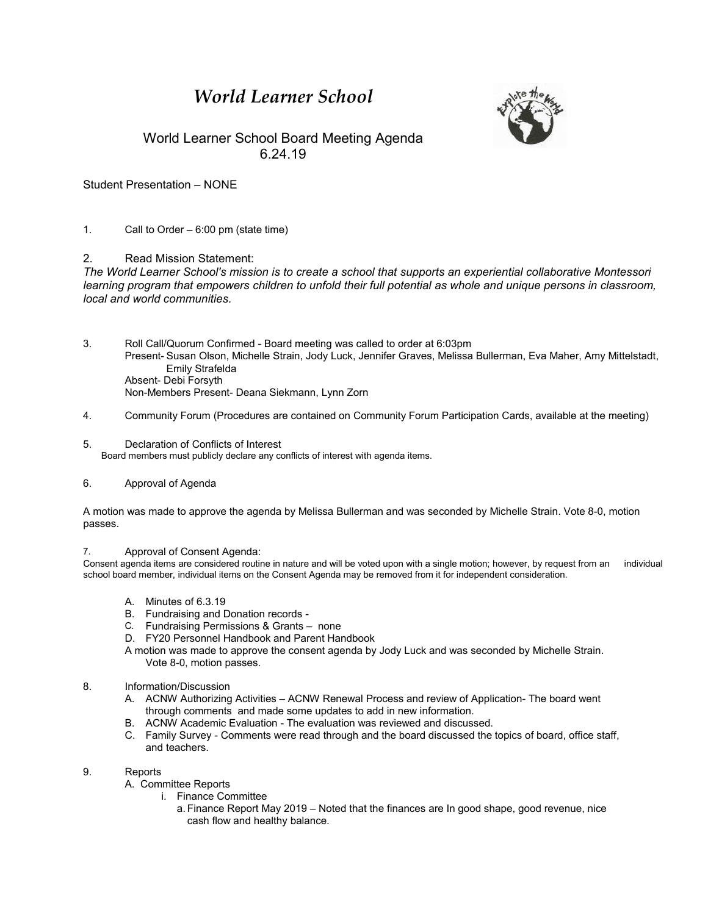# *World Learner School*



# World Learner School Board Meeting Agenda 6.24.19

Student Presentation – NONE

### 1. Call to Order – 6:00 pm (state time)

## 2. Read Mission Statement:

*The World Learner School's mission is to create a school that supports an experiential collaborative Montessori*  learning program that empowers children to unfold their full potential as whole and unique persons in classroom, *local and world communities.*

- 3. Roll Call/Quorum Confirmed Board meeting was called to order at 6:03pm Present- Susan Olson, Michelle Strain, Jody Luck, Jennifer Graves, Melissa Bullerman, Eva Maher, Amy Mittelstadt, Emily Strafelda Absent- Debi Forsyth Non-Members Present- Deana Siekmann, Lynn Zorn
- 4. 4. Community Forum (Procedures are contained on Community Forum Participation Cards, available at the meeting)
- 5. Declaration of Conflicts of Interest Board members must publicly declare any conflicts of interest with agenda items.

#### 6. Approval of Agenda

A motion was made to approve the agenda by Melissa Bullerman and was seconded by Michelle Strain. Vote 8-0, motion passes.

#### 7. Approval of Consent Agenda:

Consent agenda items are considered routine in nature and will be voted upon with a single motion; however, by request from an individual school board member, individual items on the Consent Agenda may be removed from it for independent consideration.

- A. Minutes of 6.3.19
- B. Fundraising and Donation records -
- C. Fundraising Permissions & Grants none
- D. FY20 Personnel Handbook and Parent Handbook
- A motion was made to approve the consent agenda by Jody Luck and was seconded by Michelle Strain. Vote 8-0, motion passes.

#### 8. Information/Discussion

- A. ACNW Authorizing Activities ACNW Renewal Process and review of Application- The board went through comments and made some updates to add in new information.
- B. ACNW Academic Evaluation The evaluation was reviewed and discussed.
- C. Family Survey Comments were read through and the board discussed the topics of board, office staff, and teachers.

#### 9. Reports

- A. Committee Reports
	- i. Finance Committee
		- a. Finance Report May 2019 Noted that the finances are In good shape, good revenue, nice cash flow and healthy balance.